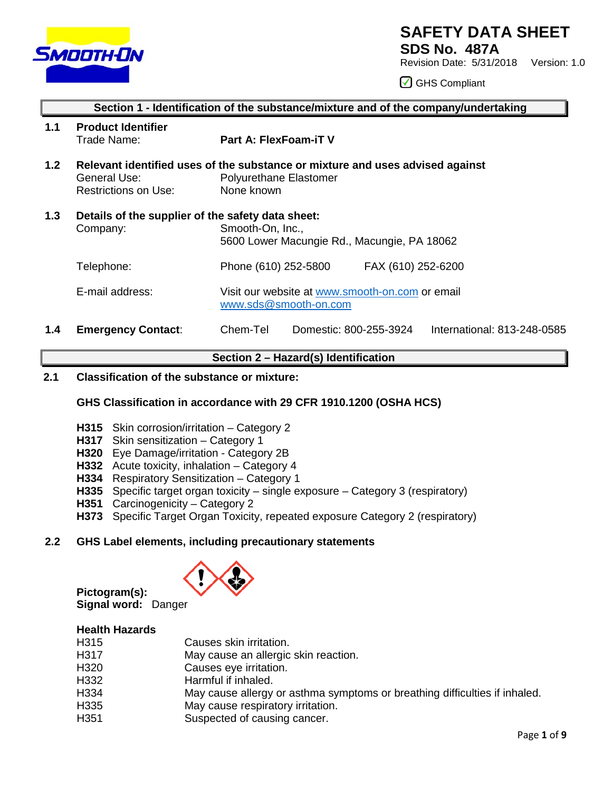

# **SAFETY DATA SHEET**

**SDS No. 487A**

Revision Date: 5/31/2018 Version: 1.0

GHS Compliant

|     | Section 1 - Identification of the substance/mixture and of the company/undertaking |                                                                                                                       |  |  |
|-----|------------------------------------------------------------------------------------|-----------------------------------------------------------------------------------------------------------------------|--|--|
| 1.1 | <b>Product Identifier</b><br>Trade Name:                                           | <b>Part A: FlexFoam-iT V</b>                                                                                          |  |  |
| 1.2 | General Use:<br><b>Restrictions on Use:</b>                                        | Relevant identified uses of the substance or mixture and uses advised against<br>Polyurethane Elastomer<br>None known |  |  |
| 1.3 | Details of the supplier of the safety data sheet:<br>Company:                      | Smooth-On, Inc.,<br>5600 Lower Macungie Rd., Macungie, PA 18062                                                       |  |  |
|     | Telephone:                                                                         | Phone (610) 252-5800<br>FAX (610) 252-6200                                                                            |  |  |
|     | E-mail address:                                                                    | Visit our website at www.smooth-on.com or email<br>www.sds@smooth-on.com                                              |  |  |
| 1.4 | <b>Emergency Contact:</b>                                                          | Chem-Tel<br>Domestic: 800-255-3924<br>International: 813-248-0585                                                     |  |  |

# **Section 2 – Hazard(s) Identification**

## **2.1 Classification of the substance or mixture:**

# **GHS Classification in accordance with 29 CFR 1910.1200 (OSHA HCS)**

- **H315** Skin corrosion/irritation Category 2
- **H317** Skin sensitization Category 1
- **H320** Eye Damage/irritation Category 2B
- **H332** Acute toxicity, inhalation Category 4
- **H334** Respiratory Sensitization Category 1
- **H335** Specific target organ toxicity single exposure Category 3 (respiratory)
- **H351** Carcinogenicity Category 2
- **H373** Specific Target Organ Toxicity, repeated exposure Category 2 (respiratory)

## **2.2 GHS Label elements, including precautionary statements**



**Pictogram(s): Signal word:** Danger

# **Health Hazards**

| H315 | Causes skin irritation.                                                    |
|------|----------------------------------------------------------------------------|
| H317 | May cause an allergic skin reaction.                                       |
| H320 | Causes eye irritation.                                                     |
| H332 | Harmful if inhaled.                                                        |
| H334 | May cause allergy or asthma symptoms or breathing difficulties if inhaled. |
| H335 | May cause respiratory irritation.                                          |
| H351 | Suspected of causing cancer.                                               |
|      |                                                                            |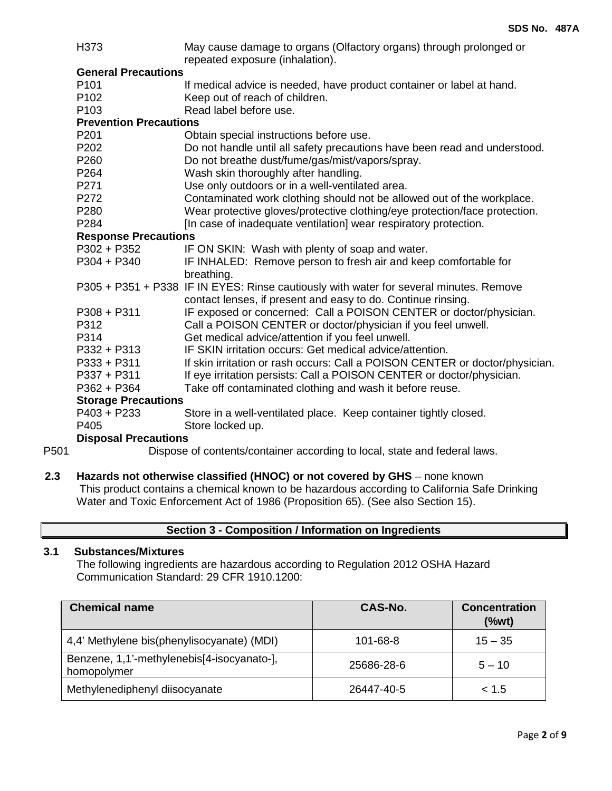|      | H373                          | May cause damage to organs (Olfactory organs) through prolonged or<br>repeated exposure (inhalation). |
|------|-------------------------------|-------------------------------------------------------------------------------------------------------|
|      | <b>General Precautions</b>    |                                                                                                       |
|      | P <sub>101</sub>              | If medical advice is needed, have product container or label at hand.                                 |
|      | P <sub>102</sub>              | Keep out of reach of children.                                                                        |
|      | P <sub>103</sub>              | Read label before use.                                                                                |
|      | <b>Prevention Precautions</b> |                                                                                                       |
|      | P201                          | Obtain special instructions before use.                                                               |
|      | P202                          | Do not handle until all safety precautions have been read and understood.                             |
|      | P260                          | Do not breathe dust/fume/gas/mist/vapors/spray.                                                       |
|      | P264                          | Wash skin thoroughly after handling.                                                                  |
|      | P271                          | Use only outdoors or in a well-ventilated area.                                                       |
|      | P272                          | Contaminated work clothing should not be allowed out of the workplace.                                |
|      | P280                          | Wear protective gloves/protective clothing/eye protection/face protection.                            |
|      | P284                          | [In case of inadequate ventilation] wear respiratory protection.                                      |
|      | <b>Response Precautions</b>   |                                                                                                       |
|      | P302 + P352                   | IF ON SKIN: Wash with plenty of soap and water.                                                       |
|      | $P304 + P340$                 | IF INHALED: Remove person to fresh air and keep comfortable for                                       |
|      |                               | breathing.                                                                                            |
|      |                               | P305 + P351 + P338 IF IN EYES: Rinse cautiously with water for several minutes. Remove                |
|      |                               | contact lenses, if present and easy to do. Continue rinsing.                                          |
|      | $P308 + P311$                 | IF exposed or concerned: Call a POISON CENTER or doctor/physician.                                    |
|      | P312                          | Call a POISON CENTER or doctor/physician if you feel unwell.                                          |
|      | P314                          | Get medical advice/attention if you feel unwell.                                                      |
|      | $P332 + P313$                 | IF SKIN irritation occurs: Get medical advice/attention.                                              |
|      | $P333 + P311$                 | If skin irritation or rash occurs: Call a POISON CENTER or doctor/physician.                          |
|      | P337 + P311                   | If eye irritation persists: Call a POISON CENTER or doctor/physician.                                 |
|      | P362 + P364                   | Take off contaminated clothing and wash it before reuse.                                              |
|      | <b>Storage Precautions</b>    |                                                                                                       |
|      | $P403 + P233$                 | Store in a well-ventilated place. Keep container tightly closed.                                      |
|      | P405                          | Store locked up.                                                                                      |
|      | <b>Disposal Precautions</b>   |                                                                                                       |
| P501 |                               | Dispose of contents/container according to local, state and federal laws.                             |

# **2.3 Hazards not otherwise classified (HNOC) or not covered by GHS** – none known This product contains a chemical known to be hazardous according to California Safe Drinking Water and Toxic Enforcement Act of 1986 (Proposition 65). (See also Section 15).

| Section 3 - Composition / Information on Ingredients |
|------------------------------------------------------|
|------------------------------------------------------|

## **3.1 Substances/Mixtures**

The following ingredients are hazardous according to Regulation 2012 OSHA Hazard Communication Standard: 29 CFR 1910.1200:

| <b>Chemical name</b>                                      | CAS-No.    | <b>Concentration</b><br>$(\%wt)$ |
|-----------------------------------------------------------|------------|----------------------------------|
| 4,4' Methylene bis(phenylisocyanate) (MDI)                | 101-68-8   | $15 - 35$                        |
| Benzene, 1,1'-methylenebis[4-isocyanato-],<br>homopolymer | 25686-28-6 | $5 - 10$                         |
| Methylenediphenyl diisocyanate                            | 26447-40-5 | < 1.5                            |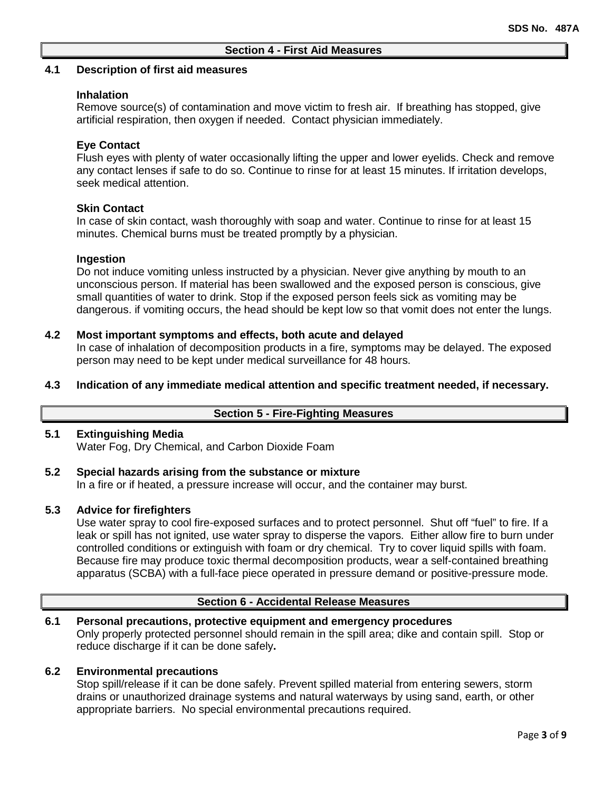## **4.1 Description of first aid measures**

## **Inhalation**

Remove source(s) of contamination and move victim to fresh air. If breathing has stopped, give artificial respiration, then oxygen if needed. Contact physician immediately.

## **Eye Contact**

Flush eyes with plenty of water occasionally lifting the upper and lower eyelids. Check and remove any contact lenses if safe to do so. Continue to rinse for at least 15 minutes. If irritation develops, seek medical attention.

## **Skin Contact**

In case of skin contact, wash thoroughly with soap and water. Continue to rinse for at least 15 minutes. Chemical burns must be treated promptly by a physician.

## **Ingestion**

Do not induce vomiting unless instructed by a physician. Never give anything by mouth to an unconscious person. If material has been swallowed and the exposed person is conscious, give small quantities of water to drink. Stop if the exposed person feels sick as vomiting may be dangerous. if vomiting occurs, the head should be kept low so that vomit does not enter the lungs.

## **4.2 Most important symptoms and effects, both acute and delayed**

In case of inhalation of decomposition products in a fire, symptoms may be delayed. The exposed person may need to be kept under medical surveillance for 48 hours.

**4.3 Indication of any immediate medical attention and specific treatment needed, if necessary.**

## **Section 5 - Fire-Fighting Measures**

## **5.1 Extinguishing Media**

Water Fog, Dry Chemical, and Carbon Dioxide Foam

#### **5.2 Special hazards arising from the substance or mixture** In a fire or if heated, a pressure increase will occur, and the container may burst.

## **5.3 Advice for firefighters**

Use water spray to cool fire-exposed surfaces and to protect personnel. Shut off "fuel" to fire. If a leak or spill has not ignited, use water spray to disperse the vapors. Either allow fire to burn under controlled conditions or extinguish with foam or dry chemical. Try to cover liquid spills with foam. Because fire may produce toxic thermal decomposition products, wear a self-contained breathing apparatus (SCBA) with a full-face piece operated in pressure demand or positive-pressure mode.

# **Section 6 - Accidental Release Measures**

## **6.1 Personal precautions, protective equipment and emergency procedures**

Only properly protected personnel should remain in the spill area; dike and contain spill. Stop or reduce discharge if it can be done safely**.**

## **6.2 Environmental precautions**

Stop spill/release if it can be done safely. Prevent spilled material from entering sewers, storm drains or unauthorized drainage systems and natural waterways by using sand, earth, or other appropriate barriers.No special environmental precautions required.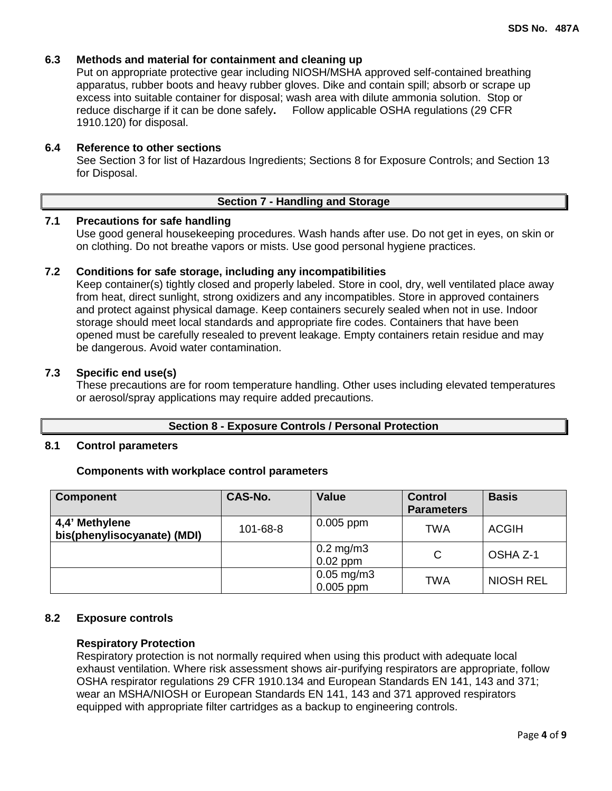## **6.3 Methods and material for containment and cleaning up**

Put on appropriate protective gear including NIOSH/MSHA approved self-contained breathing apparatus, rubber boots and heavy rubber gloves. Dike and contain spill; absorb or scrape up excess into suitable container for disposal; wash area with dilute ammonia solution. Stop or reduce discharge if it can be done safely**.** Follow applicable OSHA regulations (29 CFR 1910.120) for disposal.

### **6.4 Reference to other sections**

See Section 3 for list of Hazardous Ingredients; Sections 8 for Exposure Controls; and Section 13 for Disposal.

#### **Section 7 - Handling and Storage**

## **7.1 Precautions for safe handling**

Use good general housekeeping procedures. Wash hands after use. Do not get in eyes, on skin or on clothing. Do not breathe vapors or mists. Use good personal hygiene practices.

## **7.2 Conditions for safe storage, including any incompatibilities**

Keep container(s) tightly closed and properly labeled. Store in cool, dry, well ventilated place away from heat, direct sunlight, strong oxidizers and any incompatibles. Store in approved containers and protect against physical damage. Keep containers securely sealed when not in use. Indoor storage should meet local standards and appropriate fire codes. Containers that have been opened must be carefully resealed to prevent leakage. Empty containers retain residue and may be dangerous. Avoid water contamination.

#### **7.3 Specific end use(s)**

These precautions are for room temperature handling. Other uses including elevated temperatures or aerosol/spray applications may require added precautions.

### **Section 8 - Exposure Controls / Personal Protection**

#### **8.1 Control parameters**

#### **Components with workplace control parameters**

| <b>Component</b>                              | CAS-No.  | <b>Value</b>                           | <b>Control</b><br><b>Parameters</b> | <b>Basis</b>     |
|-----------------------------------------------|----------|----------------------------------------|-------------------------------------|------------------|
| 4,4' Methylene<br>bis(phenylisocyanate) (MDI) | 101-68-8 | $0.005$ ppm                            | <b>TWA</b>                          | <b>ACGIH</b>     |
|                                               |          | $0.2$ mg/m $3$<br>$0.02$ ppm           | C                                   | OSHA Z-1         |
|                                               |          | $0.05 \,\mathrm{mg/m3}$<br>$0.005$ ppm | TWA                                 | <b>NIOSH REL</b> |

#### **8.2 Exposure controls**

#### **Respiratory Protection**

Respiratory protection is not normally required when using this product with adequate local exhaust ventilation. Where risk assessment shows air-purifying respirators are appropriate, follow OSHA respirator regulations 29 CFR 1910.134 and European Standards EN 141, 143 and 371; wear an MSHA/NIOSH or European Standards EN 141, 143 and 371 approved respirators equipped with appropriate filter cartridges as a backup to engineering controls.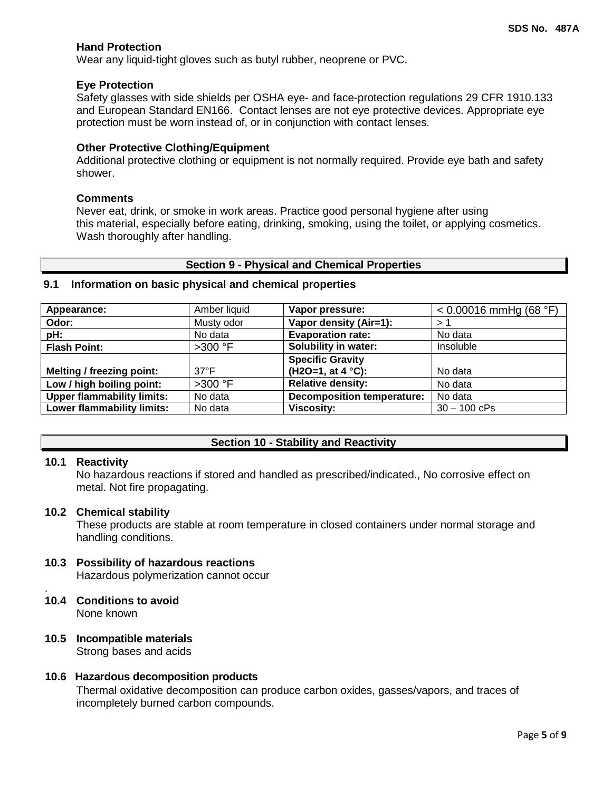## **Hand Protection**

Wear any liquid-tight gloves such as butyl rubber, neoprene or PVC.

#### **Eye Protection**

Safety glasses with side shields per OSHA eye- and face-protection regulations 29 CFR 1910.133 and European Standard EN166. Contact lenses are not eye protective devices. Appropriate eye protection must be worn instead of, or in conjunction with contact lenses.

#### **Other Protective Clothing/Equipment**

Additional protective clothing or equipment is not normally required. Provide eye bath and safety shower.

#### **Comments**

Never eat, drink, or smoke in work areas. Practice good personal hygiene after using this material, especially before eating, drinking, smoking, using the toilet, or applying cosmetics. Wash thoroughly after handling.

#### **Section 9 - Physical and Chemical Properties**

## **9.1 Information on basic physical and chemical properties**

| Appearance:                       | Amber liquid   | Vapor pressure:                   | $< 0.00016$ mmHg (68 °F) |
|-----------------------------------|----------------|-----------------------------------|--------------------------|
| Odor:                             | Musty odor     | Vapor density (Air=1):            | >1                       |
| pH:                               | No data        | <b>Evaporation rate:</b>          | No data                  |
| <b>Flash Point:</b>               | $>300$ °F      | <b>Solubility in water:</b>       | Insoluble                |
|                                   |                | <b>Specific Gravity</b>           |                          |
| <b>Melting / freezing point:</b>  | $37^{\circ}$ F | (H2O=1, at 4 °C):                 | No data                  |
| Low / high boiling point:         | $>300$ °F      | <b>Relative density:</b>          | No data                  |
| <b>Upper flammability limits:</b> | No data        | <b>Decomposition temperature:</b> | No data                  |
| <b>Lower flammability limits:</b> | No data        | <b>Viscosity:</b>                 | $30 - 100$ cPs           |

## **Section 10 - Stability and Reactivity**

#### **10.1 Reactivity**

No hazardous reactions if stored and handled as prescribed/indicated., No corrosive effect on metal. Not fire propagating.

#### **10.2 Chemical stability**

These products are stable at room temperature in closed containers under normal storage and handling conditions.

# **10.3 Possibility of hazardous reactions**

Hazardous polymerization cannot occur

#### . **10.4 Conditions to avoid** None known

# **10.5 Incompatible materials**

Strong bases and acids

#### **10.6 Hazardous decomposition products**

Thermal oxidative decomposition can produce carbon oxides, gasses/vapors, and traces of incompletely burned carbon compounds.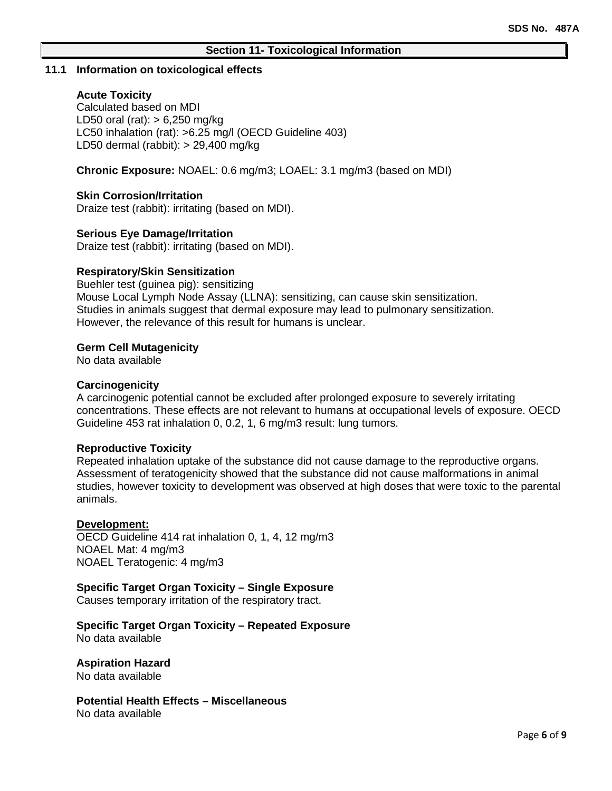#### **11.1 Information on toxicological effects**

## **Acute Toxicity**

Calculated based on MDI LD50 oral (rat): > 6,250 mg/kg LC50 inhalation (rat): >6.25 mg/l (OECD Guideline 403) LD50 dermal (rabbit): > 29,400 mg/kg

**Chronic Exposure:** NOAEL: 0.6 mg/m3; LOAEL: 3.1 mg/m3 (based on MDI)

## **Skin Corrosion/Irritation**

Draize test (rabbit): irritating (based on MDI).

### **Serious Eye Damage/Irritation**

Draize test (rabbit): irritating (based on MDI).

### **Respiratory/Skin Sensitization**

Buehler test (guinea pig): sensitizing Mouse Local Lymph Node Assay (LLNA): sensitizing, can cause skin sensitization. Studies in animals suggest that dermal exposure may lead to pulmonary sensitization. However, the relevance of this result for humans is unclear.

### **Germ Cell Mutagenicity**

No data available

### **Carcinogenicity**

A carcinogenic potential cannot be excluded after prolonged exposure to severely irritating concentrations. These effects are not relevant to humans at occupational levels of exposure. OECD Guideline 453 rat inhalation 0, 0.2, 1, 6 mg/m3 result: lung tumors.

#### **Reproductive Toxicity**

Repeated inhalation uptake of the substance did not cause damage to the reproductive organs. Assessment of teratogenicity showed that the substance did not cause malformations in animal studies, however toxicity to development was observed at high doses that were toxic to the parental animals.

#### **Development:**

OECD Guideline 414 rat inhalation 0, 1, 4, 12 mg/m3 NOAEL Mat: 4 mg/m3 NOAEL Teratogenic: 4 mg/m3

## **Specific Target Organ Toxicity – Single Exposure**

Causes temporary irritation of the respiratory tract.

# **Specific Target Organ Toxicity – Repeated Exposure**

No data available

**Aspiration Hazard**

No data available

**Potential Health Effects – Miscellaneous** No data available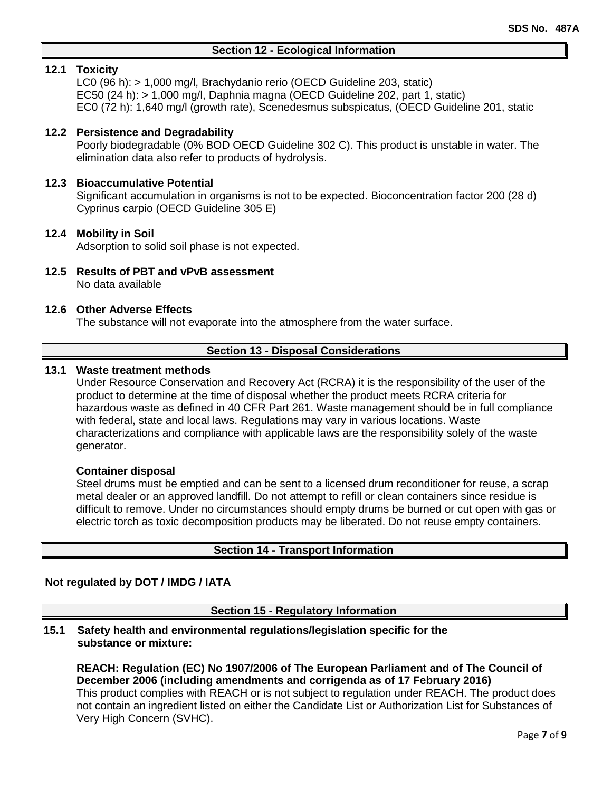## **Section 12 - Ecological Information**

## **12.1 Toxicity**

LC0 (96 h): > 1,000 mg/l, Brachydanio rerio (OECD Guideline 203, static) EC50 (24 h): > 1,000 mg/l, Daphnia magna (OECD Guideline 202, part 1, static) EC0 (72 h): 1,640 mg/l (growth rate), Scenedesmus subspicatus, (OECD Guideline 201, static

## **12.2 Persistence and Degradability**

Poorly biodegradable (0% BOD OECD Guideline 302 C). This product is unstable in water. The elimination data also refer to products of hydrolysis.

### **12.3 Bioaccumulative Potential**

Significant accumulation in organisms is not to be expected. Bioconcentration factor 200 (28 d) Cyprinus carpio (OECD Guideline 305 E)

### **12.4 Mobility in Soil**

Adsorption to solid soil phase is not expected.

**12.5 Results of PBT and vPvB assessment** No data available

#### **12.6 Other Adverse Effects**

The substance will not evaporate into the atmosphere from the water surface.

### **Section 13 - Disposal Considerations**

## **13.1 Waste treatment methods**

Under Resource Conservation and Recovery Act (RCRA) it is the responsibility of the user of the product to determine at the time of disposal whether the product meets RCRA criteria for hazardous waste as defined in 40 CFR Part 261. Waste management should be in full compliance with federal, state and local laws. Regulations may vary in various locations. Waste characterizations and compliance with applicable laws are the responsibility solely of the waste generator.

#### **Container disposal**

Steel drums must be emptied and can be sent to a licensed drum reconditioner for reuse, a scrap metal dealer or an approved landfill. Do not attempt to refill or clean containers since residue is difficult to remove. Under no circumstances should empty drums be burned or cut open with gas or electric torch as toxic decomposition products may be liberated. Do not reuse empty containers.

#### **Section 14 - Transport Information**

#### **Not regulated by DOT / IMDG / IATA**

**Section 15 - Regulatory Information**

**15.1 Safety health and environmental regulations/legislation specific for the substance or mixture:**

**REACH: Regulation (EC) No 1907/2006 of The European Parliament and of The Council of December 2006 (including amendments and corrigenda as of 17 February 2016)** This product complies with REACH or is not subject to regulation under REACH. The product does not contain an ingredient listed on either the Candidate List or Authorization List for Substances of Very High Concern (SVHC).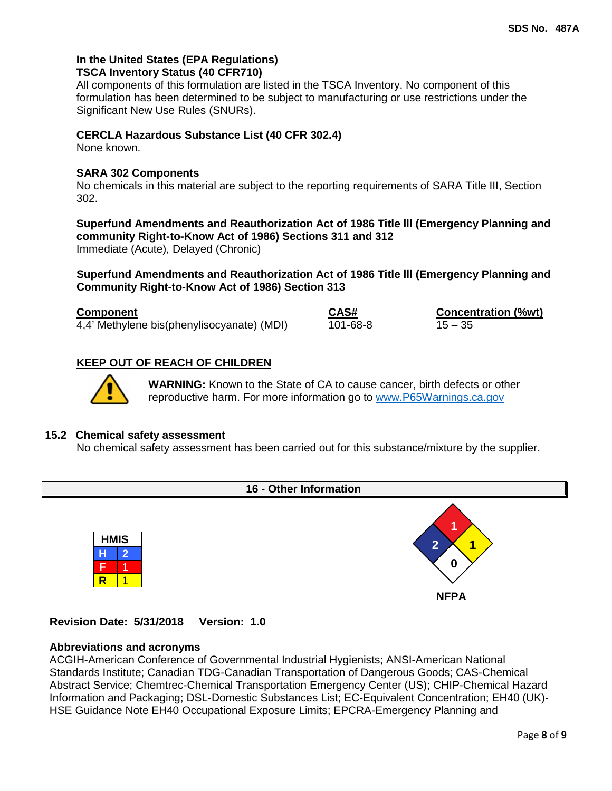## **In the United States (EPA Regulations) TSCA Inventory Status (40 CFR710)**

All components of this formulation are listed in the TSCA Inventory. No component of this formulation has been determined to be subject to manufacturing or use restrictions under the Significant New Use Rules (SNURs).

## **CERCLA Hazardous Substance List (40 CFR 302.4)**

None known.

## **SARA 302 Components**

No chemicals in this material are subject to the reporting requirements of SARA Title III, Section 302.

**Superfund Amendments and Reauthorization Act of 1986 Title lll (Emergency Planning and community Right-to-Know Act of 1986) Sections 311 and 312** Immediate (Acute), Delayed (Chronic)

**Superfund Amendments and Reauthorization Act of 1986 Title lll (Emergency Planning and Community Right-to-Know Act of 1986) Section 313**

| <b>Component</b>                           | CAS#     | <b>Concentration (%wt)</b> |
|--------------------------------------------|----------|----------------------------|
| 4,4' Methylene bis(phenylisocyanate) (MDI) | 101-68-8 | $15 - 35$                  |

# **KEEP OUT OF REACH OF CHILDREN**



**WARNING:** Known to the State of CA to cause cancer, birth defects or other reproductive harm. For more information go to [www.P65Warnings.ca.gov](http://www.p65warnings.ca.gov/)

## **15.2 Chemical safety assessment**

No chemical safety assessment has been carried out for this substance/mixture by the supplier.

# **16 - Other Information**





**Revision Date: 5/31/2018 Version: 1.0**

## **Abbreviations and acronyms**

ACGIH-American Conference of Governmental Industrial Hygienists; ANSI-American National Standards Institute; Canadian TDG-Canadian Transportation of Dangerous Goods; CAS-Chemical Abstract Service; Chemtrec-Chemical Transportation Emergency Center (US); CHIP-Chemical Hazard Information and Packaging; DSL-Domestic Substances List; EC-Equivalent Concentration; EH40 (UK)- HSE Guidance Note EH40 Occupational Exposure Limits; EPCRA-Emergency Planning and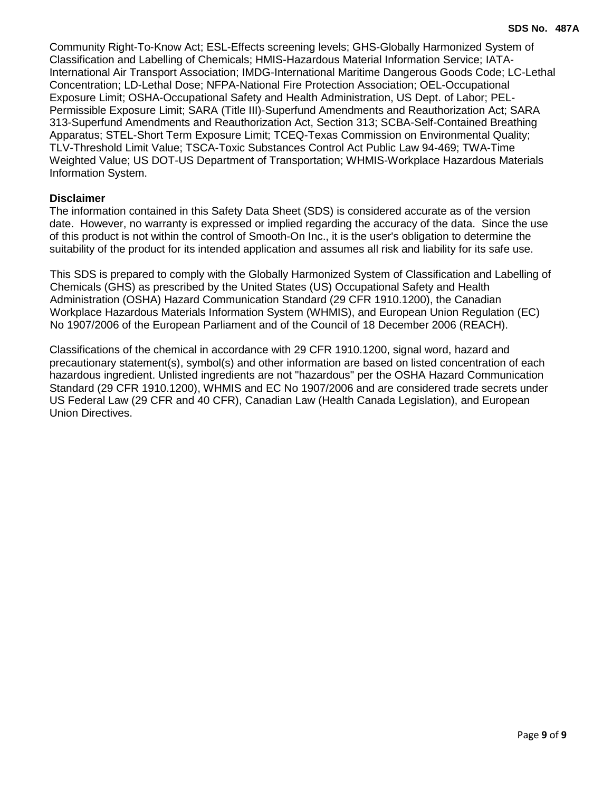Community Right-To-Know Act; ESL-Effects screening levels; GHS-Globally Harmonized System of Classification and Labelling of Chemicals; HMIS-Hazardous Material Information Service; IATA-International Air Transport Association; IMDG-International Maritime Dangerous Goods Code; LC-Lethal Concentration; LD-Lethal Dose; NFPA-National Fire Protection Association; OEL-Occupational Exposure Limit; OSHA-Occupational Safety and Health Administration, US Dept. of Labor; PEL-Permissible Exposure Limit; SARA (Title III)-Superfund Amendments and Reauthorization Act; SARA 313-Superfund Amendments and Reauthorization Act, Section 313; SCBA-Self-Contained Breathing Apparatus; STEL-Short Term Exposure Limit; TCEQ-Texas Commission on Environmental Quality; TLV-Threshold Limit Value; TSCA-Toxic Substances Control Act Public Law 94-469; TWA-Time Weighted Value; US DOT-US Department of Transportation; WHMIS-Workplace Hazardous Materials Information System.

## **Disclaimer**

The information contained in this Safety Data Sheet (SDS) is considered accurate as of the version date. However, no warranty is expressed or implied regarding the accuracy of the data. Since the use of this product is not within the control of Smooth-On Inc., it is the user's obligation to determine the suitability of the product for its intended application and assumes all risk and liability for its safe use.

This SDS is prepared to comply with the Globally Harmonized System of Classification and Labelling of Chemicals (GHS) as prescribed by the United States (US) Occupational Safety and Health Administration (OSHA) Hazard Communication Standard (29 CFR 1910.1200), the Canadian Workplace Hazardous Materials Information System (WHMIS), and European Union Regulation (EC) No 1907/2006 of the European Parliament and of the Council of 18 December 2006 (REACH).

Classifications of the chemical in accordance with 29 CFR 1910.1200, signal word, hazard and precautionary statement(s), symbol(s) and other information are based on listed concentration of each hazardous ingredient. Unlisted ingredients are not "hazardous" per the OSHA Hazard Communication Standard (29 CFR 1910.1200), WHMIS and EC No 1907/2006 and are considered trade secrets under US Federal Law (29 CFR and 40 CFR), Canadian Law (Health Canada Legislation), and European Union Directives.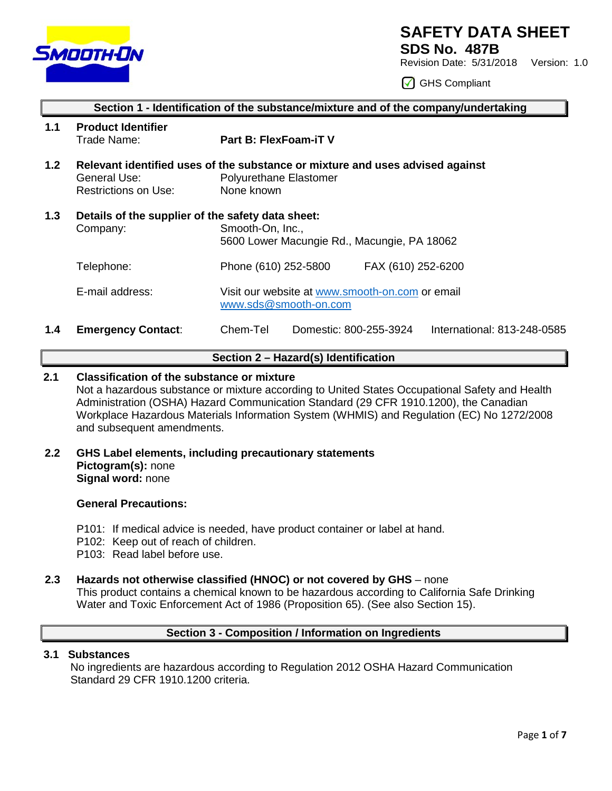

# **SAFETY DATA SHEET**

**SDS No. 487B**

Revision Date: 5/31/2018 Version: 1.0

GHS Compliant

|                  | Section 1 - Identification of the substance/mixture and of the company/undertaking |                                                                                                                              |  |  |
|------------------|------------------------------------------------------------------------------------|------------------------------------------------------------------------------------------------------------------------------|--|--|
| 1.1              | <b>Product Identifier</b><br>Trade Name:                                           | Part B: FlexFoam-iT V                                                                                                        |  |  |
| 1.2 <sub>2</sub> | General Use:<br>Restrictions on Use:                                               | Relevant identified uses of the substance or mixture and uses advised against<br><b>Polyurethane Elastomer</b><br>None known |  |  |
| 1.3              | Details of the supplier of the safety data sheet:<br>Company:                      | Smooth-On, Inc.,<br>5600 Lower Macungie Rd., Macungie, PA 18062                                                              |  |  |
|                  | Telephone:                                                                         | Phone (610) 252-5800<br>FAX (610) 252-6200                                                                                   |  |  |
|                  | E-mail address:                                                                    | Visit our website at www.smooth-on.com or email<br>www.sds@smooth-on.com                                                     |  |  |
| 1.4              | <b>Emergency Contact:</b>                                                          | Chem-Tel<br>Domestic: 800-255-3924<br>International: 813-248-0585                                                            |  |  |

## **Section 2 – Hazard(s) Identification**

## **2.1 Classification of the substance or mixture**

Not a hazardous substance or mixture according to United States Occupational Safety and Health Administration (OSHA) Hazard Communication Standard (29 CFR 1910.1200), the Canadian Workplace Hazardous Materials Information System (WHMIS) and Regulation (EC) No 1272/2008 and subsequent amendments.

**2.2 GHS Label elements, including precautionary statements Pictogram(s):** none **Signal word:** none

## **General Precautions:**

- P101: If medical advice is needed, have product container or label at hand.
- P102: Keep out of reach of children.
- P103: Read label before use.

# **2.3 Hazards not otherwise classified (HNOC) or not covered by GHS** – none

This product contains a chemical known to be hazardous according to California Safe Drinking Water and Toxic Enforcement Act of 1986 (Proposition 65). (See also Section 15).

# **Section 3 - Composition / Information on Ingredients**

## **3.1 Substances**

 No ingredients are hazardous according to Regulation 2012 OSHA Hazard Communication Standard 29 CFR 1910.1200 criteria.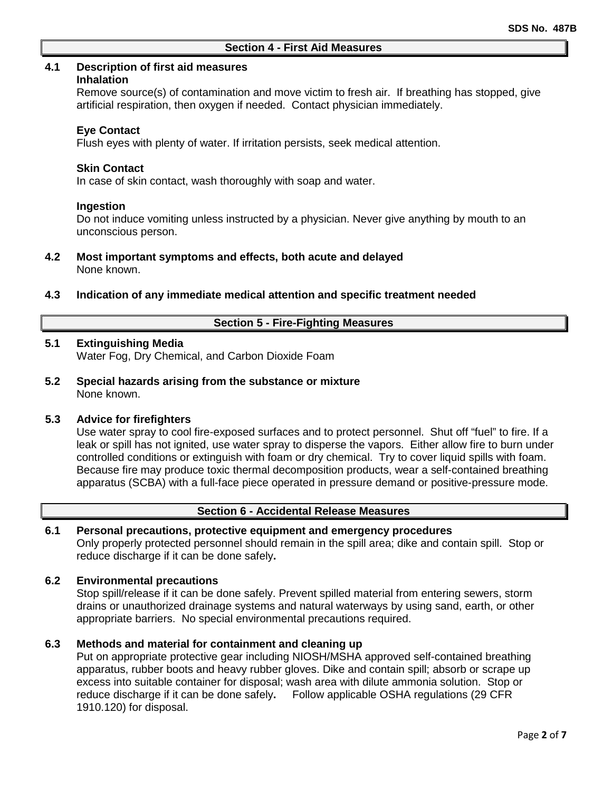## **4.1 Description of first aid measures**

#### **Inhalation**

Remove source(s) of contamination and move victim to fresh air. If breathing has stopped, give artificial respiration, then oxygen if needed. Contact physician immediately.

### **Eye Contact**

Flush eyes with plenty of water. If irritation persists, seek medical attention.

### **Skin Contact**

In case of skin contact, wash thoroughly with soap and water.

### **Ingestion**

Do not induce vomiting unless instructed by a physician. Never give anything by mouth to an unconscious person.

## **4.2 Most important symptoms and effects, both acute and delayed** None known.

### **4.3 Indication of any immediate medical attention and specific treatment needed**

## **Section 5 - Fire-Fighting Measures**

## **5.1 Extinguishing Media**

Water Fog, Dry Chemical, and Carbon Dioxide Foam

**5.2 Special hazards arising from the substance or mixture** None known.

## **5.3 Advice for firefighters**

Use water spray to cool fire-exposed surfaces and to protect personnel. Shut off "fuel" to fire. If a leak or spill has not ignited, use water spray to disperse the vapors. Either allow fire to burn under controlled conditions or extinguish with foam or dry chemical. Try to cover liquid spills with foam. Because fire may produce toxic thermal decomposition products, wear a self-contained breathing apparatus (SCBA) with a full-face piece operated in pressure demand or positive-pressure mode.

# **Section 6 - Accidental Release Measures**

# **6.1 Personal precautions, protective equipment and emergency procedures**

Only properly protected personnel should remain in the spill area; dike and contain spill. Stop or reduce discharge if it can be done safely**.**

#### **6.2 Environmental precautions**

Stop spill/release if it can be done safely. Prevent spilled material from entering sewers, storm drains or unauthorized drainage systems and natural waterways by using sand, earth, or other appropriate barriers.No special environmental precautions required.

#### **6.3 Methods and material for containment and cleaning up**

Put on appropriate protective gear including NIOSH/MSHA approved self-contained breathing apparatus, rubber boots and heavy rubber gloves. Dike and contain spill; absorb or scrape up excess into suitable container for disposal; wash area with dilute ammonia solution. Stop or reduce discharge if it can be done safely**.** Follow applicable OSHA regulations (29 CFR 1910.120) for disposal.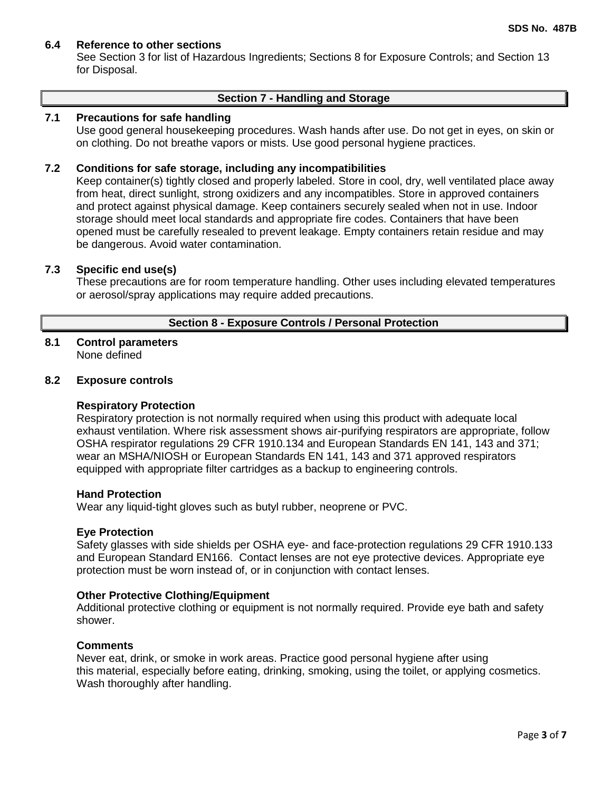## **6.4 Reference to other sections**

See Section 3 for list of Hazardous Ingredients; Sections 8 for Exposure Controls; and Section 13 for Disposal.

#### **Section 7 - Handling and Storage**

## **7.1 Precautions for safe handling**

Use good general housekeeping procedures. Wash hands after use. Do not get in eyes, on skin or on clothing. Do not breathe vapors or mists. Use good personal hygiene practices.

## **7.2 Conditions for safe storage, including any incompatibilities**

Keep container(s) tightly closed and properly labeled. Store in cool, dry, well ventilated place away from heat, direct sunlight, strong oxidizers and any incompatibles. Store in approved containers and protect against physical damage. Keep containers securely sealed when not in use. Indoor storage should meet local standards and appropriate fire codes. Containers that have been opened must be carefully resealed to prevent leakage. Empty containers retain residue and may be dangerous. Avoid water contamination.

## **7.3 Specific end use(s)**

These precautions are for room temperature handling. Other uses including elevated temperatures or aerosol/spray applications may require added precautions.

## **Section 8 - Exposure Controls / Personal Protection**

#### **8.1 Control parameters** None defined

### **8.2 Exposure controls**

#### **Respiratory Protection**

Respiratory protection is not normally required when using this product with adequate local exhaust ventilation. Where risk assessment shows air-purifying respirators are appropriate, follow OSHA respirator regulations 29 CFR 1910.134 and European Standards EN 141, 143 and 371; wear an MSHA/NIOSH or European Standards EN 141, 143 and 371 approved respirators equipped with appropriate filter cartridges as a backup to engineering controls.

#### **Hand Protection**

Wear any liquid-tight gloves such as butyl rubber, neoprene or PVC.

#### **Eye Protection**

Safety glasses with side shields per OSHA eye- and face-protection regulations 29 CFR 1910.133 and European Standard EN166. Contact lenses are not eye protective devices. Appropriate eye protection must be worn instead of, or in conjunction with contact lenses.

#### **Other Protective Clothing/Equipment**

Additional protective clothing or equipment is not normally required. Provide eye bath and safety shower.

#### **Comments**

Never eat, drink, or smoke in work areas. Practice good personal hygiene after using this material, especially before eating, drinking, smoking, using the toilet, or applying cosmetics. Wash thoroughly after handling.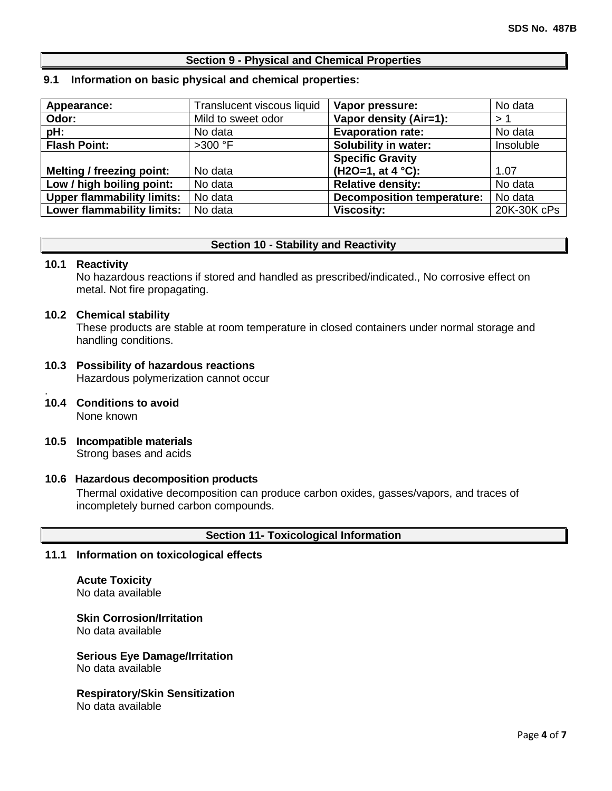# **Section 9 - Physical and Chemical Properties**

### **9.1 Information on basic physical and chemical properties:**

| Appearance:                       | Translucent viscous liquid | Vapor pressure:                   | No data     |
|-----------------------------------|----------------------------|-----------------------------------|-------------|
| Odor:                             | Mild to sweet odor         | Vapor density (Air=1):            | >1          |
| pH:                               | No data                    | <b>Evaporation rate:</b>          | No data     |
| <b>Flash Point:</b>               | $>300$ °F                  | <b>Solubility in water:</b>       | Insoluble   |
|                                   |                            | <b>Specific Gravity</b>           |             |
| Melting / freezing point:         | No data                    | $(H2O=1, at 4 °C)$ :              | 1.07        |
| Low / high boiling point:         | No data                    | <b>Relative density:</b>          | No data     |
| <b>Upper flammability limits:</b> | No data                    | <b>Decomposition temperature:</b> | No data     |
| <b>Lower flammability limits:</b> | No data                    | <b>Viscosity:</b>                 | 20K-30K cPs |

## **Section 10 - Stability and Reactivity**

#### **10.1 Reactivity**

No hazardous reactions if stored and handled as prescribed/indicated., No corrosive effect on metal. Not fire propagating.

### **10.2 Chemical stability**

These products are stable at room temperature in closed containers under normal storage and handling conditions.

### **10.3 Possibility of hazardous reactions** Hazardous polymerization cannot occur

- . **10.4 Conditions to avoid** None known
- **10.5 Incompatible materials** Strong bases and acids

## **10.6 Hazardous decomposition products**

Thermal oxidative decomposition can produce carbon oxides, gasses/vapors, and traces of incompletely burned carbon compounds.

## **Section 11- Toxicological Information**

## **11.1 Information on toxicological effects**

**Acute Toxicity** No data available

**Skin Corrosion/Irritation** No data available

**Serious Eye Damage/Irritation** No data available

# **Respiratory/Skin Sensitization**

No data available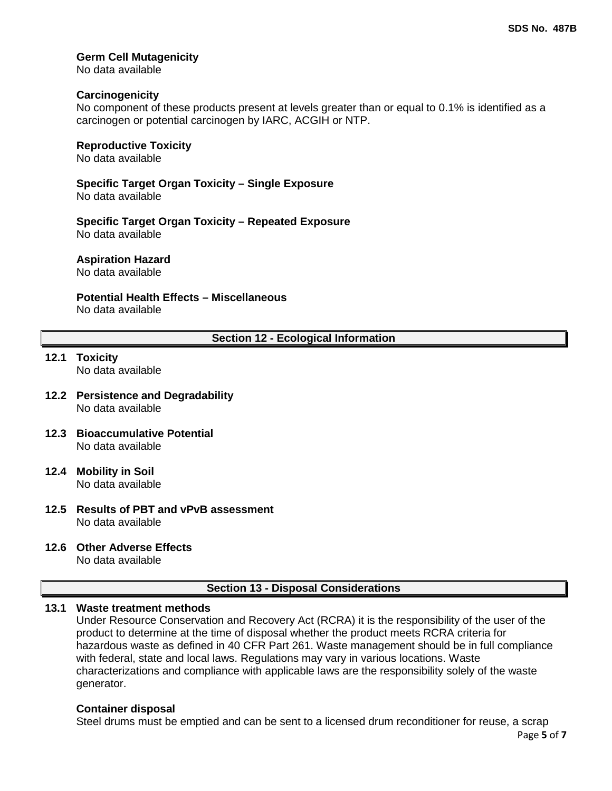## **Germ Cell Mutagenicity**

No data available

## **Carcinogenicity**

No component of these products present at levels greater than or equal to 0.1% is identified as a carcinogen or potential carcinogen by IARC, ACGIH or NTP.

### **Reproductive Toxicity**

No data available

**Specific Target Organ Toxicity – Single Exposure**

No data available

**Specific Target Organ Toxicity – Repeated Exposure** No data available

**Aspiration Hazard**

No data available

## **Potential Health Effects – Miscellaneous**

No data available

## **Section 12 - Ecological Information**

# **12.1 Toxicity**

No data available

- **12.2 Persistence and Degradability** No data available
- **12.3 Bioaccumulative Potential** No data available
- **12.4 Mobility in Soil** No data available
- **12.5 Results of PBT and vPvB assessment** No data available
- **12.6 Other Adverse Effects**

No data available

## **Section 13 - Disposal Considerations**

## **13.1 Waste treatment methods**

Under Resource Conservation and Recovery Act (RCRA) it is the responsibility of the user of the product to determine at the time of disposal whether the product meets RCRA criteria for hazardous waste as defined in 40 CFR Part 261. Waste management should be in full compliance with federal, state and local laws. Regulations may vary in various locations. Waste characterizations and compliance with applicable laws are the responsibility solely of the waste generator.

## **Container disposal**

Steel drums must be emptied and can be sent to a licensed drum reconditioner for reuse, a scrap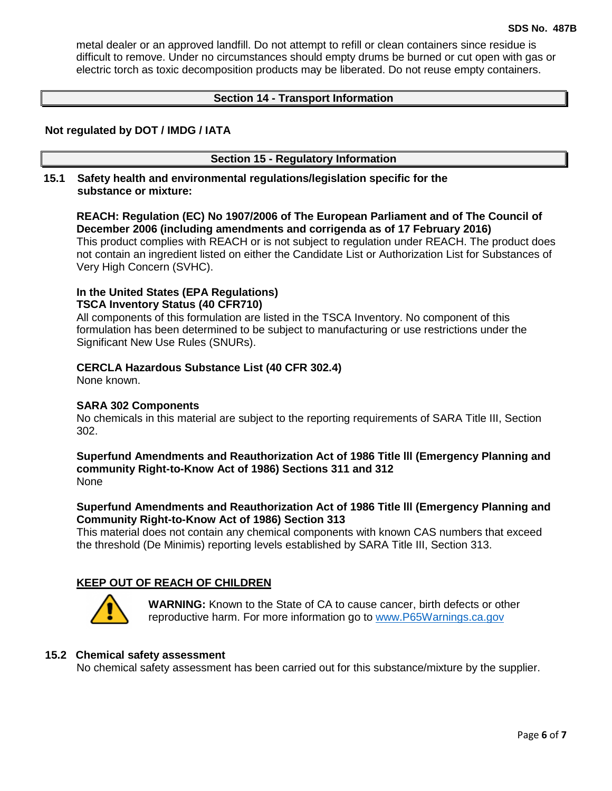metal dealer or an approved landfill. Do not attempt to refill or clean containers since residue is difficult to remove. Under no circumstances should empty drums be burned or cut open with gas or electric torch as toxic decomposition products may be liberated. Do not reuse empty containers.

## **Section 14 - Transport Information**

## **Not regulated by DOT / IMDG / IATA**

### **Section 15 - Regulatory Information**

**15.1 Safety health and environmental regulations/legislation specific for the substance or mixture:**

**REACH: Regulation (EC) No 1907/2006 of The European Parliament and of The Council of December 2006 (including amendments and corrigenda as of 17 February 2016)** This product complies with REACH or is not subject to regulation under REACH. The product does not contain an ingredient listed on either the Candidate List or Authorization List for Substances of Very High Concern (SVHC).

# **In the United States (EPA Regulations) TSCA Inventory Status (40 CFR710)**

All components of this formulation are listed in the TSCA Inventory. No component of this formulation has been determined to be subject to manufacturing or use restrictions under the Significant New Use Rules (SNURs).

### **CERCLA Hazardous Substance List (40 CFR 302.4)**

None known.

#### **SARA 302 Components**

No chemicals in this material are subject to the reporting requirements of SARA Title III, Section 302.

**Superfund Amendments and Reauthorization Act of 1986 Title lll (Emergency Planning and community Right-to-Know Act of 1986) Sections 311 and 312** None

## **Superfund Amendments and Reauthorization Act of 1986 Title lll (Emergency Planning and Community Right-to-Know Act of 1986) Section 313**

This material does not contain any chemical components with known CAS numbers that exceed the threshold (De Minimis) reporting levels established by SARA Title III, Section 313.

## **KEEP OUT OF REACH OF CHILDREN**



**WARNING:** Known to the State of CA to cause cancer, birth defects or other reproductive harm. For more information go to [www.P65Warnings.ca.gov](http://www.p65warnings.ca.gov/)

#### **15.2 Chemical safety assessment**

No chemical safety assessment has been carried out for this substance/mixture by the supplier.